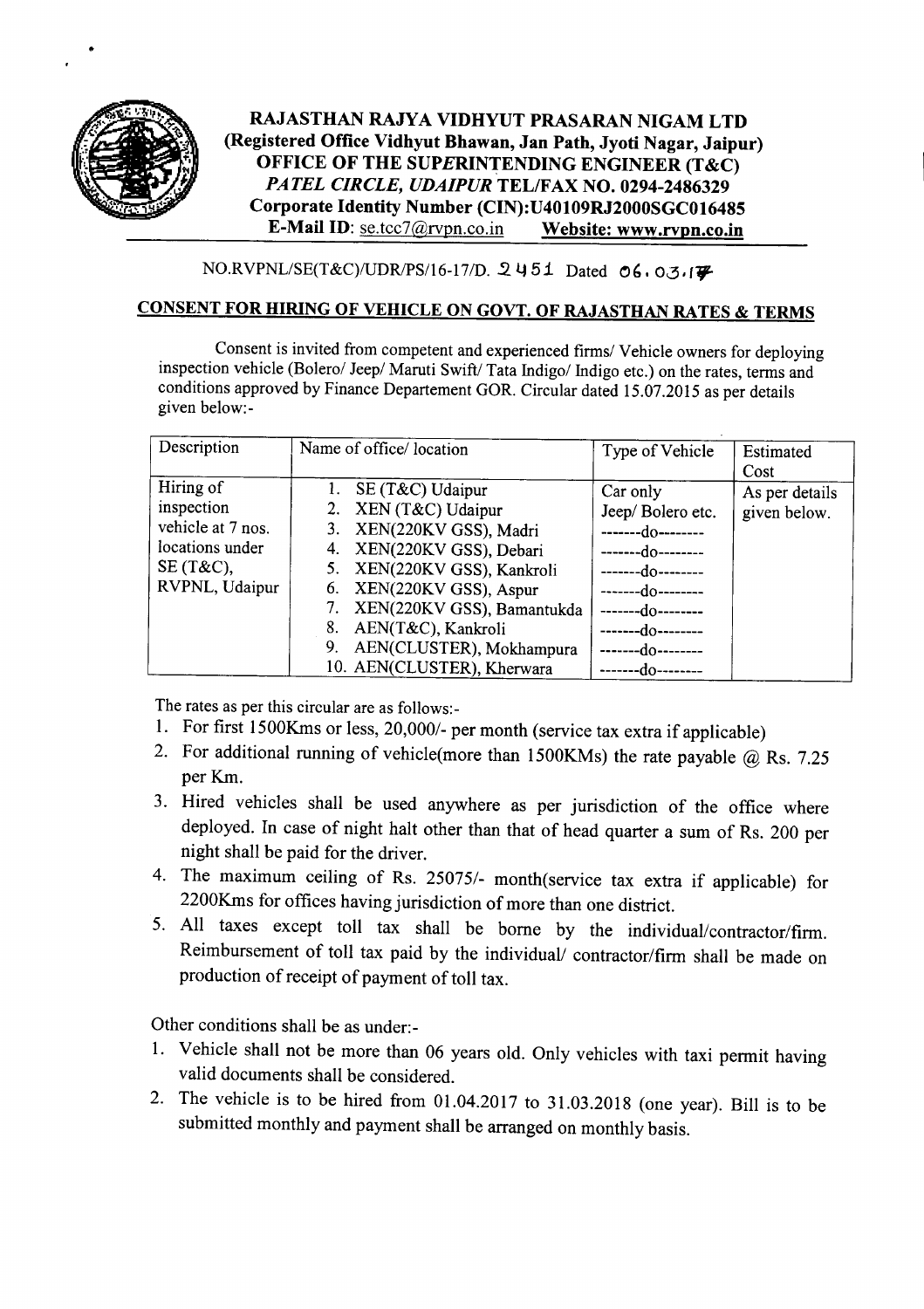

•

## RAJASTHAN RAJYA VIDHYUT PRASARAN NIGAM LTD (Registered Office Vidhyut Bhawan, Jan Path, Jyoti Nagar, Jaipur) OFFICE OF THE SUPERINTENDING ENGINEER (T&C) *PATEL CIRCLE, UDAIPUR* TEL/FAX NO. 0294-2486329 Corporate Identity Number (CIN):U40109RJ2000SGC016485 E-Mail ID: se.tcc7@rvpn.co.in Website: www.rvpn.co.in

 $NO.RVPNL/SE(T&C)/UDR/PS/16-17/D.$  2451 Dated 06.03.17

## CONSENT FOR HIRING OF VEHICLE ON GOVT. OF RAJASTHAN RATES & TERMS

Consent is invited from competent and experienced firms/ Vehicle owners for deploying inspection vehicle (Bolero/ Jeep/ Maruti Swift/ Tata Indigo/ Indigo etc.) on the rates, terms and conditions approved by Finance Departement GOR. Circular dated 15.07.2015 as per details given below:-

| Description       | Name of office/location        | Type of Vehicle   | Estimated<br>Cost |
|-------------------|--------------------------------|-------------------|-------------------|
| Hiring of         | 1. SE $(T&C)$ Udaipur          | Car only          | As per details    |
| inspection        | 2. XEN (T&C) Udaipur           | Jeep/Bolero etc.  | given below.      |
| vehicle at 7 nos. | 3. XEN(220KV GSS), Madri       | -------do-------- |                   |
| locations under   | XEN(220KV GSS), Debari<br>4.   | -----do--------   |                   |
| $SE(T&C)$ ,       | 5. XEN(220KV GSS), Kankroli    | -----do--------   |                   |
| RVPNL, Udaipur    | 6. XEN(220KV GSS), Aspur       | ---do--------     |                   |
|                   | 7. XEN(220KV GSS), Bamantukda  | --do--------      |                   |
|                   | AEN(T&C), Kankroli<br>8.       | --do--------      |                   |
|                   | AEN(CLUSTER), Mokhampura<br>9. | -do--------       |                   |
|                   | 10. AEN(CLUSTER), Kherwara     | --do--            |                   |

The rates as per this circular are as follows:-

- I. For first 1500Kms or less, *20,0001-* per month (service tax extra if applicable)
- 2. For additional running of vehicle(more than 1500KMs) the rate payable @ Rs. 7.25 perKm.
- 3. Hired vehicles shall be used anywhere as per jurisdiction of the office where deployed. In case of night halt other than that of head quarter a sum of Rs. 200 per night shall be paid for the driver.
- 4. The maximum ceiling of Rs. 25075/- month(service tax extra if applicable) for 2200Kms for offices having jurisdiction of more than one district.
- 5. All taxes except toll tax shall be borne by the individual/contractor/firm. Reimbursement of toll tax paid by the individual/ contractor/firm shall be made on production of receipt of payment of toll tax.

Other conditions shall be as under:-

- 1. Vehicle shall not be more than 06 years old. Only vehicles with taxi permit having valid documents shall be considered.
- 2. The vehicle is to be hired from 01.04.2017 to 31.03.2018 (one year). Bill is to be submitted monthly and payment shall be arranged on monthly basis.